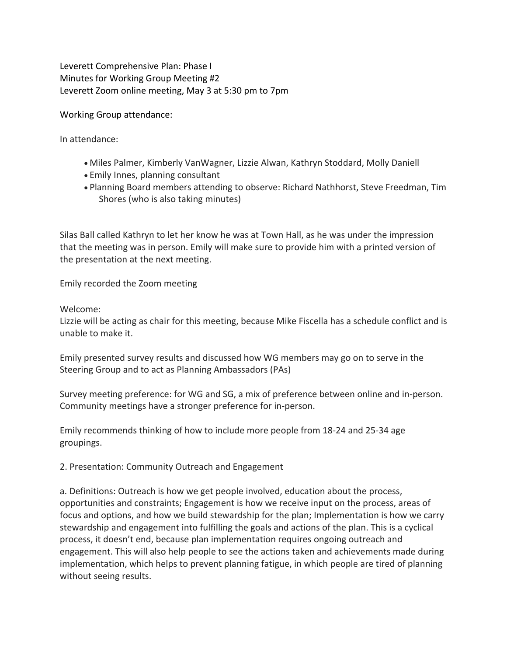Leverett Comprehensive Plan: Phase I Minutes for Working Group Meeting #2 Leverett Zoom online meeting, May 3 at 5:30 pm to 7pm

Working Group attendance:

In attendance:

- Miles Palmer, Kimberly VanWagner, Lizzie Alwan, Kathryn Stoddard, Molly Daniell
- Emily Innes, planning consultant
- Planning Board members attending to observe: Richard Nathhorst, Steve Freedman, Tim Shores (who is also taking minutes)

Silas Ball called Kathryn to let her know he was at Town Hall, as he was under the impression that the meeting was in person. Emily will make sure to provide him with a printed version of the presentation at the next meeting.

Emily recorded the Zoom meeting

Welcome:

Lizzie will be acting as chair for this meeting, because Mike Fiscella has a schedule conflict and is unable to make it.

Emily presented survey results and discussed how WG members may go on to serve in the Steering Group and to act as Planning Ambassadors (PAs)

Survey meeting preference: for WG and SG, a mix of preference between online and in-person. Community meetings have a stronger preference for in-person.

Emily recommends thinking of how to include more people from 18-24 and 25-34 age groupings.

2. Presentation: Community Outreach and Engagement

a. Definitions: Outreach is how we get people involved, education about the process, opportunities and constraints; Engagement is how we receive input on the process, areas of focus and options, and how we build stewardship for the plan; Implementation is how we carry stewardship and engagement into fulfilling the goals and actions of the plan. This is a cyclical process, it doesn't end, because plan implementation requires ongoing outreach and engagement. This will also help people to see the actions taken and achievements made during implementation, which helps to prevent planning fatigue, in which people are tired of planning without seeing results.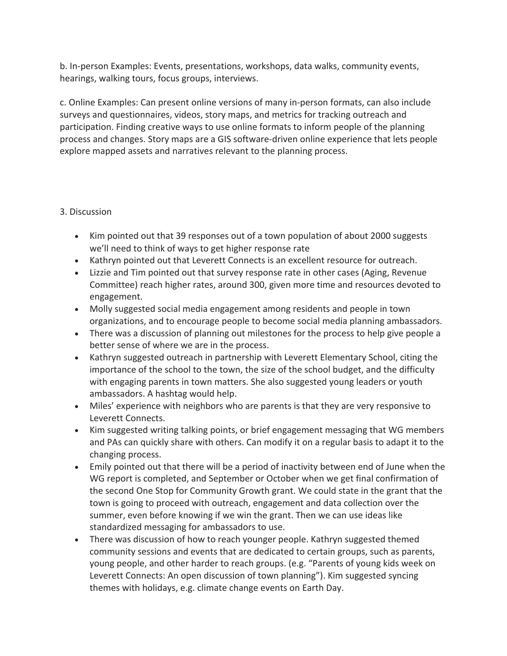b. In-person Examples: Events, presentations, workshops, data walks, community events, hearings, walking tours, focus groups, interviews.

c. Online Examples: Can present online versions of many in-person formats, can also include surveys and questionnaires, videos, story maps, and metrics for tracking outreach and participation. Finding creative ways to use online formats to inform people of the planning process and changes. Story maps are a GIS software-driven online experience that lets people explore mapped assets and narratives relevant to the planning process.

## 3. Discussion

- Kim pointed out that 39 responses out of a town population of about 2000 suggests we'll need to think of ways to get higher response rate
- Kathryn pointed out that Leverett Connects is an excellent resource for outreach.
- Lizzie and Tim pointed out that survey response rate in other cases (Aging, Revenue Committee) reach higher rates, around 300, given more time and resources devoted to engagement.
- Molly suggested social media engagement among residents and people in town organizations, and to encourage people to become social media planning ambassadors.
- There was a discussion of planning out milestones for the process to help give people a better sense of where we are in the process.
- Kathryn suggested outreach in partnership with Leverett Elementary School, citing the importance of the school to the town, the size of the school budget, and the difficulty with engaging parents in town matters. She also suggested young leaders or youth ambassadors. A hashtag would help.
- Miles' experience with neighbors who are parents is that they are very responsive to Leverett Connects.
- Kim suggested writing talking points, or brief engagement messaging that WG members and PAs can quickly share with others. Can modify it on a regular basis to adapt it to the changing process.
- Emily pointed out that there will be a period of inactivity between end of June when the WG report is completed, and September or October when we get final confirmation of the second One Stop for Community Growth grant. We could state in the grant that the town is going to proceed with outreach, engagement and data collection over the summer, even before knowing if we win the grant. Then we can use ideas like standardized messaging for ambassadors to use.
- There was discussion of how to reach younger people. Kathryn suggested themed community sessions and events that are dedicated to certain groups, such as parents, young people, and other harder to reach groups. (e.g. "Parents of young kids week on Leverett Connects: An open discussion of town planning"). Kim suggested syncing themes with holidays, e.g. climate change events on Earth Day.